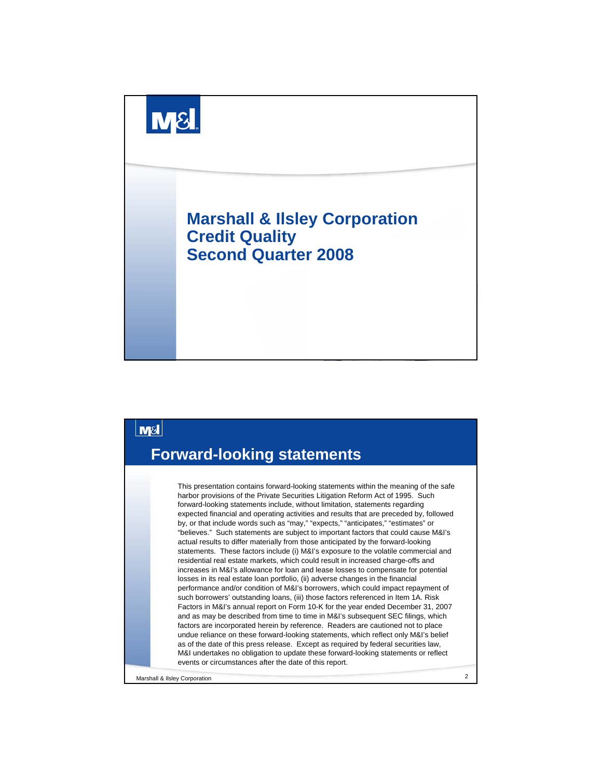



Marshall & Ilsley Corporation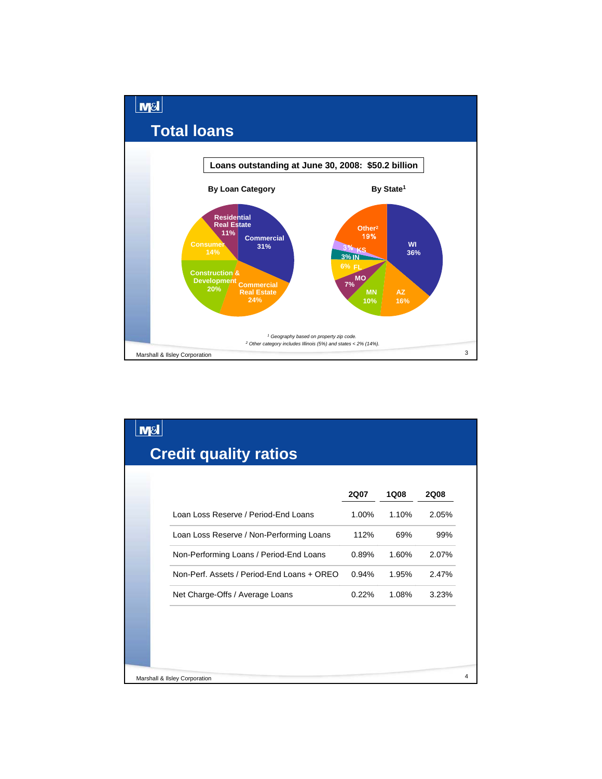

|                                            | <b>2Q07</b> | <b>1Q08</b> | <b>2Q08</b> |
|--------------------------------------------|-------------|-------------|-------------|
| Loan Loss Reserve / Period-End Loans       | 1.00%       | 1.10%       | 2.05%       |
| Loan Loss Reserve / Non-Performing Loans   | 112%        | 69%         | 99%         |
| Non-Performing Loans / Period-End Loans    | 0.89%       | 1.60%       | 2.07%       |
| Non-Perf. Assets / Period-End Loans + OREO | 0.94%       | 1.95%       | 2.47%       |
| Net Charge-Offs / Average Loans            | 0.22%       | 1.08%       | 3.23%       |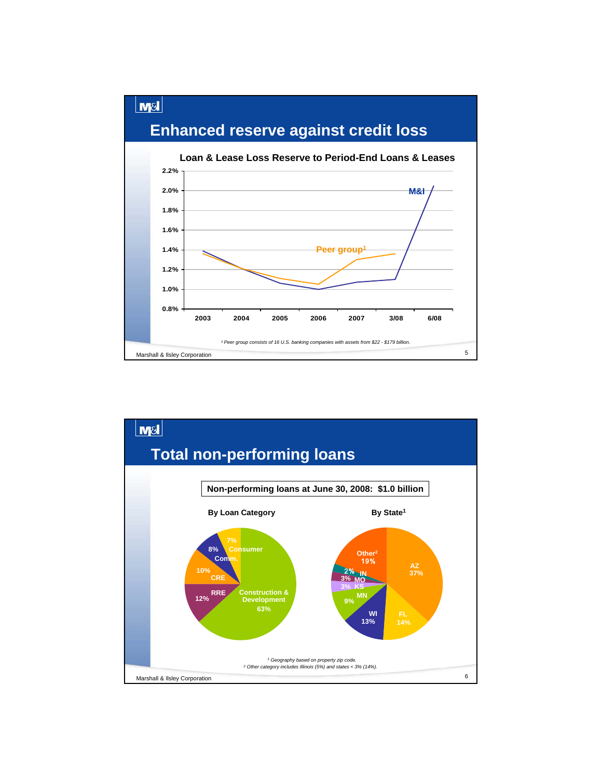

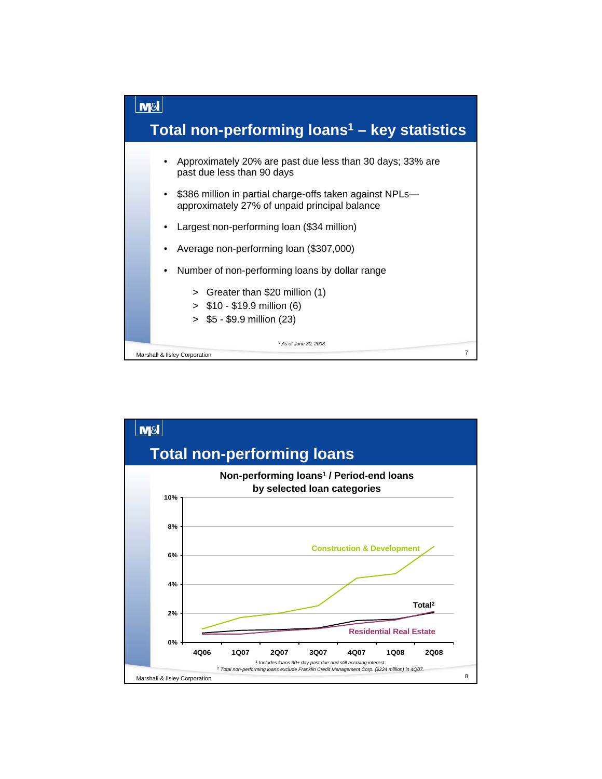

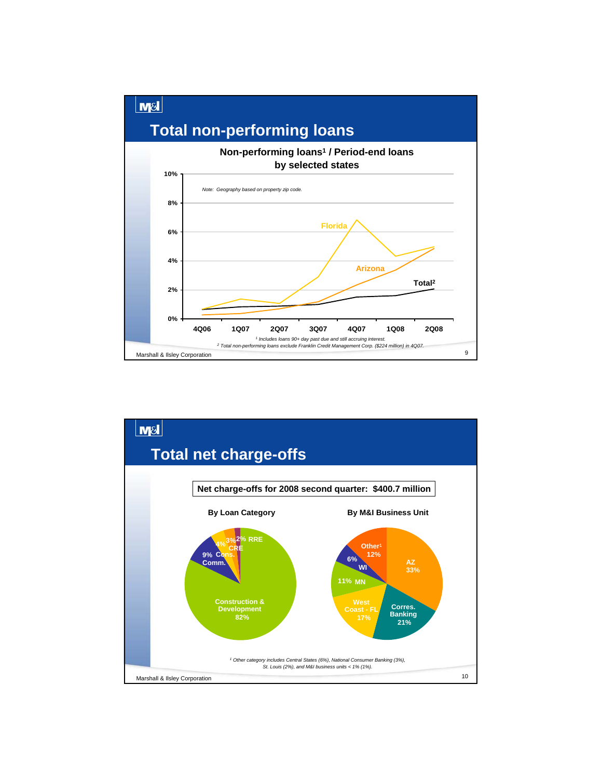

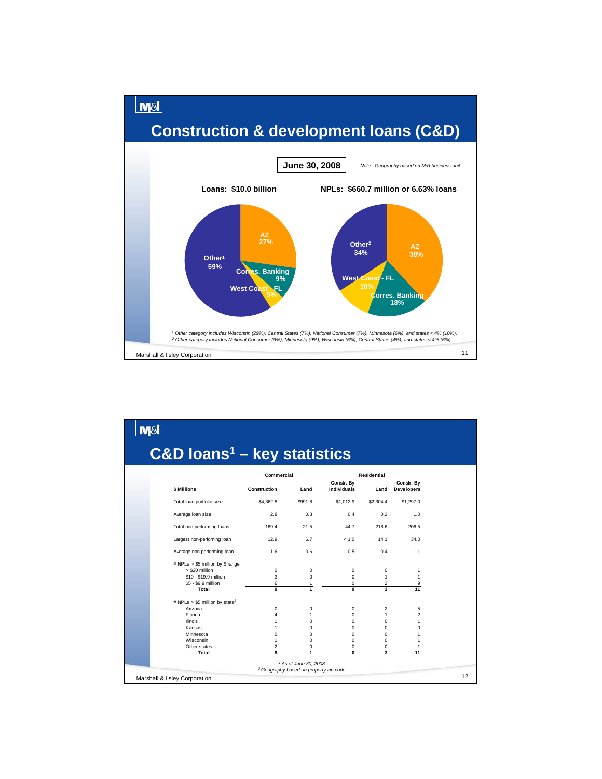

| $C&D$ loans <sup>1</sup> – key statistics          |                |                                                    |                            |                             |                                 |
|----------------------------------------------------|----------------|----------------------------------------------------|----------------------------|-----------------------------|---------------------------------|
|                                                    | Commercial     |                                                    | <b>Residential</b>         |                             |                                 |
| \$ Millions                                        | Construction   | Land                                               | Constr. By<br>Individuals  | Land                        | Constr. By<br><b>Developers</b> |
| Total loan portfolio size                          | \$4,362.8      | \$991.8                                            | \$1,012.9                  | \$2,304.4                   | \$1,297.0                       |
| Average loan size                                  | 2.8            | 0.8                                                | 0.4                        | 0.2                         | 1.0                             |
| Total non-performing loans                         | 169.4          | 21.5                                               | 44.7                       | 218.6                       | 206.5                           |
| Largest non-perforning loan                        | 12.9           | 6.7                                                | < 1.0                      | 14.1                        | 34.0                            |
| Average non-performing loan                        | 1.6            | 0.6                                                | 0.5                        | 0.4                         | 1.1                             |
| # NPLs > \$5 million by \$ range<br>> \$20 million |                |                                                    |                            |                             |                                 |
| \$10 - \$19.9 million                              | 0<br>3         | $\mathbf 0$<br>0                                   | $\mathbf 0$<br>$\mathbf 0$ | $\mathbf 0$<br>$\mathbf{1}$ | 1<br>1                          |
| \$5 - \$9.9 million                                | 6              | 1                                                  | $\mathbf 0$                | 2                           | 9                               |
| Total                                              | 9              | $\mathbf{1}$                                       | $\overline{0}$             | $\overline{\mathbf{3}}$     | 11                              |
| # NPLs > \$5 million by state <sup>2</sup>         |                |                                                    |                            |                             |                                 |
| Arizona                                            | 0              | 0                                                  | $\mathbf 0$                | 2                           | 5                               |
| Florida                                            | $\overline{4}$ | 1                                                  | $\Omega$                   | $\mathbf{1}$                | $\overline{2}$                  |
| <b>Ilinois</b>                                     | 1              | $\Omega$                                           | $\Omega$                   | $\Omega$                    | 1                               |
| Kansas                                             | 1              | 0                                                  | $\Omega$                   | $\Omega$                    | 0                               |
| Minnesota                                          | $\mathbf 0$    | 0                                                  | 0                          | $\Omega$                    | 1                               |
| Wisconsin                                          | 1              | $\Omega$                                           | $\Omega$                   | $\Omega$                    | 1                               |
| Other states                                       | $\overline{2}$ | 0                                                  | $\mathbf 0$                | 0                           | 1                               |
| Total                                              | 9              | $\overline{1}$                                     | $\overline{0}$             | $\overline{\mathbf{3}}$     | 11                              |
|                                                    |                | <sup>1</sup> As of June 30, 2008.                  |                            |                             |                                 |
|                                                    |                | <sup>2</sup> Geography based on property zip code. |                            |                             |                                 |
| Marshall & Ilsley Corporation                      |                |                                                    |                            |                             |                                 |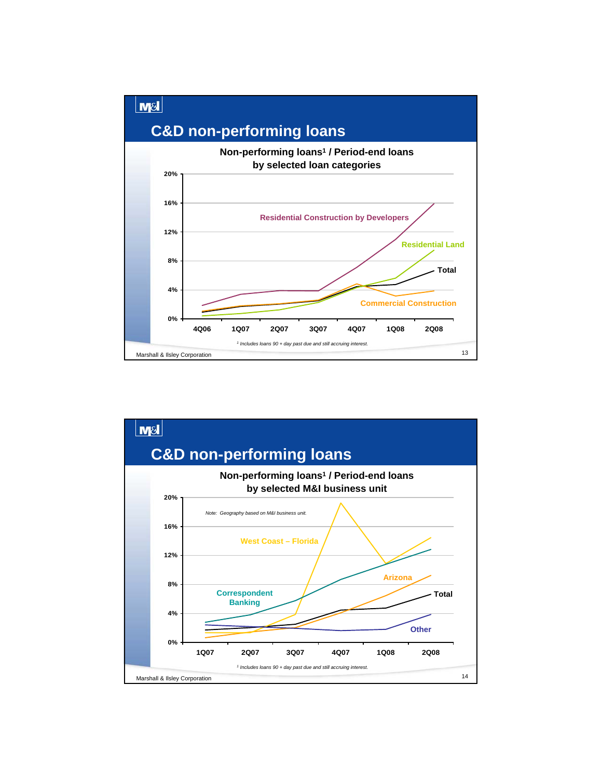

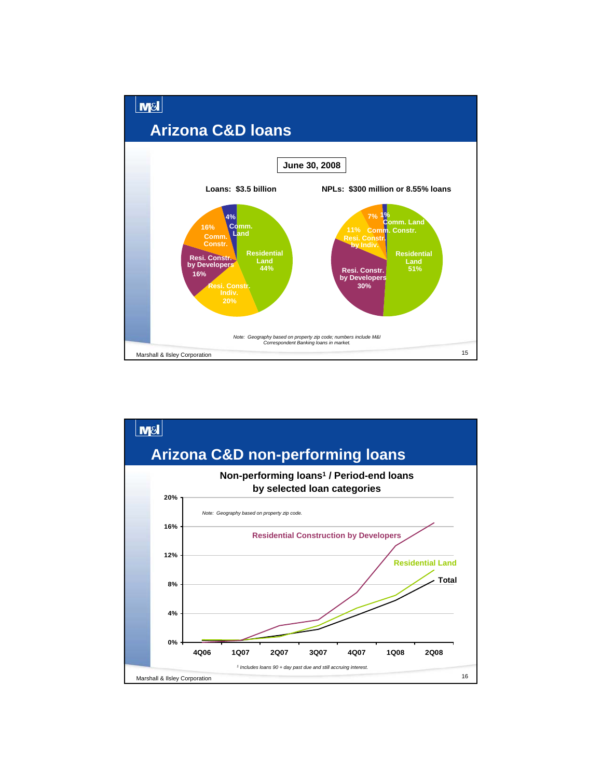

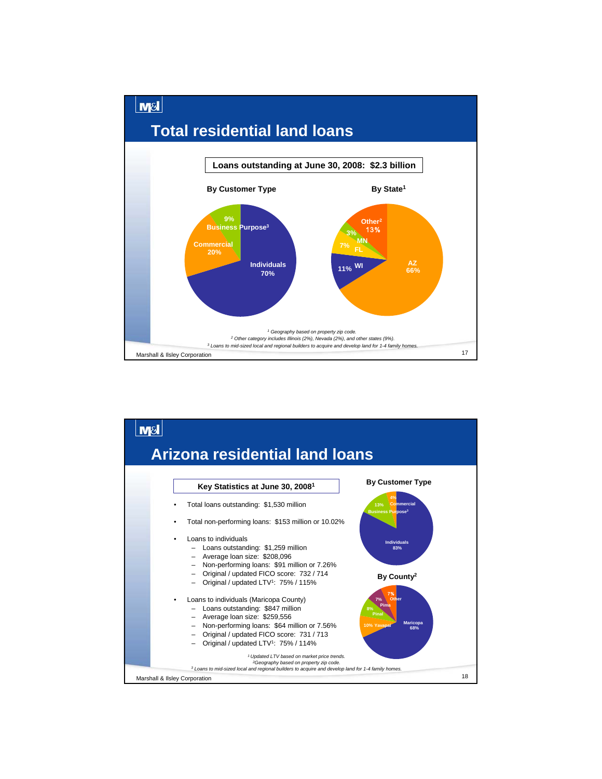

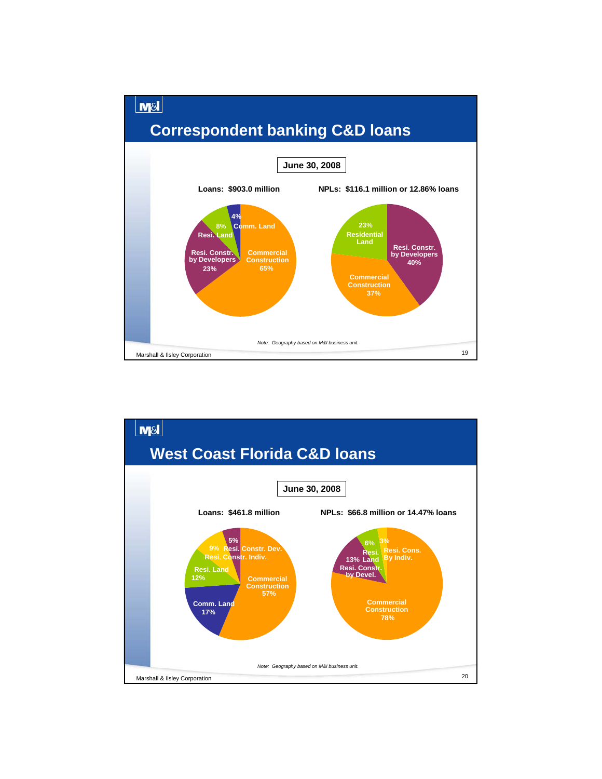

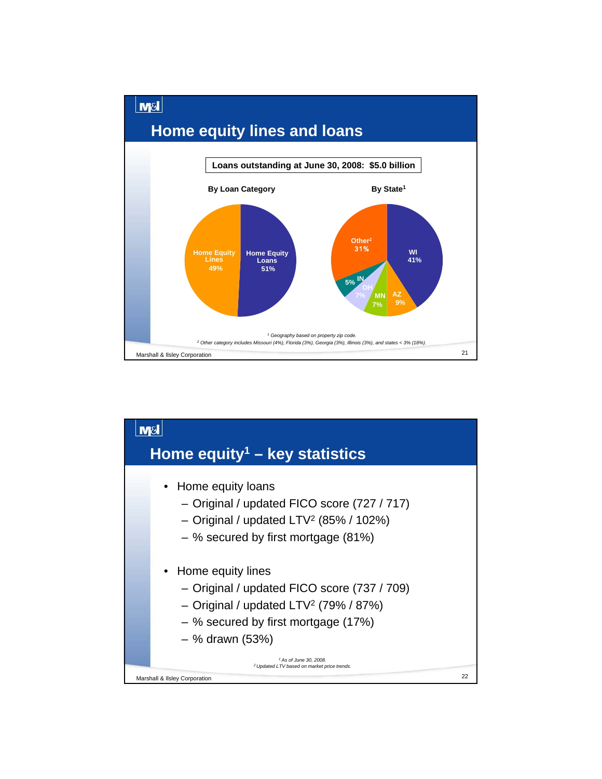